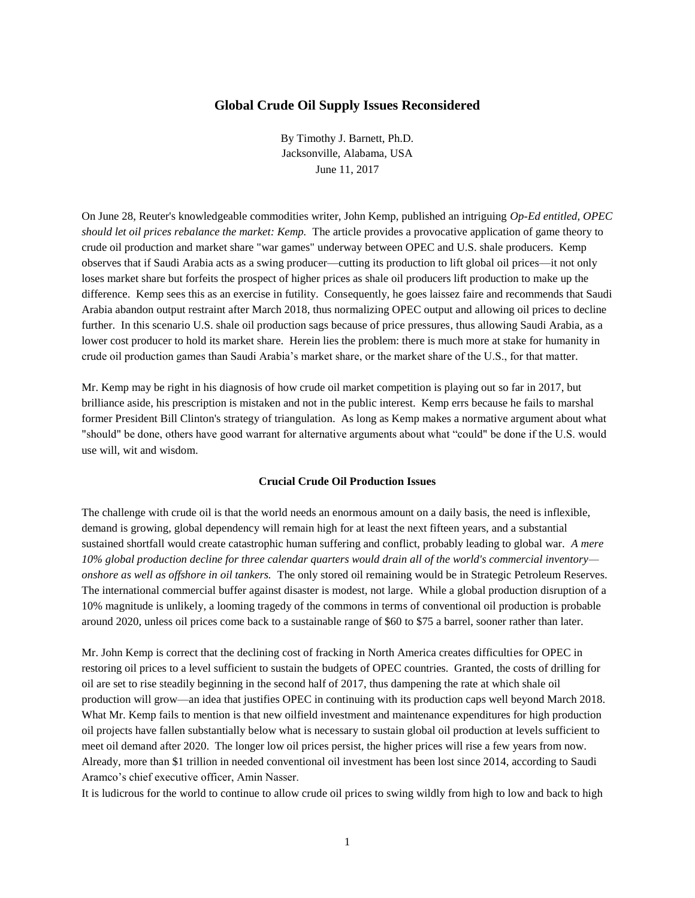# **Global Crude Oil Supply Issues Reconsidered**

By Timothy J. Barnett, Ph.D. Jacksonville, Alabama, USA June 11, 2017

On June 28, Reuter's knowledgeable commodities writer, John Kemp, published an intriguing *Op-Ed entitled, OPEC should let oil prices rebalance the market: Kemp.* The article provides a provocative application of game theory to crude oil production and market share "war games" underway between OPEC and U.S. shale producers. Kemp observes that if Saudi Arabia acts as a swing producer—cutting its production to lift global oil prices—it not only loses market share but forfeits the prospect of higher prices as shale oil producers lift production to make up the difference. Kemp sees this as an exercise in futility. Consequently, he goes laissez faire and recommends that Saudi Arabia abandon output restraint after March 2018, thus normalizing OPEC output and allowing oil prices to decline further. In this scenario U.S. shale oil production sags because of price pressures, thus allowing Saudi Arabia, as a lower cost producer to hold its market share. Herein lies the problem: there is much more at stake for humanity in crude oil production games than Saudi Arabia's market share, or the market share of the U.S., for that matter.

Mr. Kemp may be right in his diagnosis of how crude oil market competition is playing out so far in 2017, but brilliance aside, his prescription is mistaken and not in the public interest. Kemp errs because he fails to marshal former President Bill Clinton's strategy of triangulation. As long as Kemp makes a normative argument about what "should" be done, others have good warrant for alternative arguments about what "could" be done if the U.S. would use will, wit and wisdom.

### **Crucial Crude Oil Production Issues**

The challenge with crude oil is that the world needs an enormous amount on a daily basis, the need is inflexible, demand is growing, global dependency will remain high for at least the next fifteen years, and a substantial sustained shortfall would create catastrophic human suffering and conflict, probably leading to global war. *A mere 10% global production decline for three calendar quarters would drain all of the world's commercial inventory onshore as well as offshore in oil tankers.* The only stored oil remaining would be in Strategic Petroleum Reserves. The international commercial buffer against disaster is modest, not large. While a global production disruption of a 10% magnitude is unlikely, a looming tragedy of the commons in terms of conventional oil production is probable around 2020, unless oil prices come back to a sustainable range of \$60 to \$75 a barrel, sooner rather than later.

Mr. John Kemp is correct that the declining cost of fracking in North America creates difficulties for OPEC in restoring oil prices to a level sufficient to sustain the budgets of OPEC countries. Granted, the costs of drilling for oil are set to rise steadily beginning in the second half of 2017, thus dampening the rate at which shale oil production will grow—an idea that justifies OPEC in continuing with its production caps well beyond March 2018. What Mr. Kemp fails to mention is that new oilfield investment and maintenance expenditures for high production oil projects have fallen substantially below what is necessary to sustain global oil production at levels sufficient to meet oil demand after 2020. The longer low oil prices persist, the higher prices will rise a few years from now. Already, more than \$1 trillion in needed conventional oil investment has been lost since 2014, according to Saudi Aramco's chief executive officer, Amin Nasser.

It is ludicrous for the world to continue to allow crude oil prices to swing wildly from high to low and back to high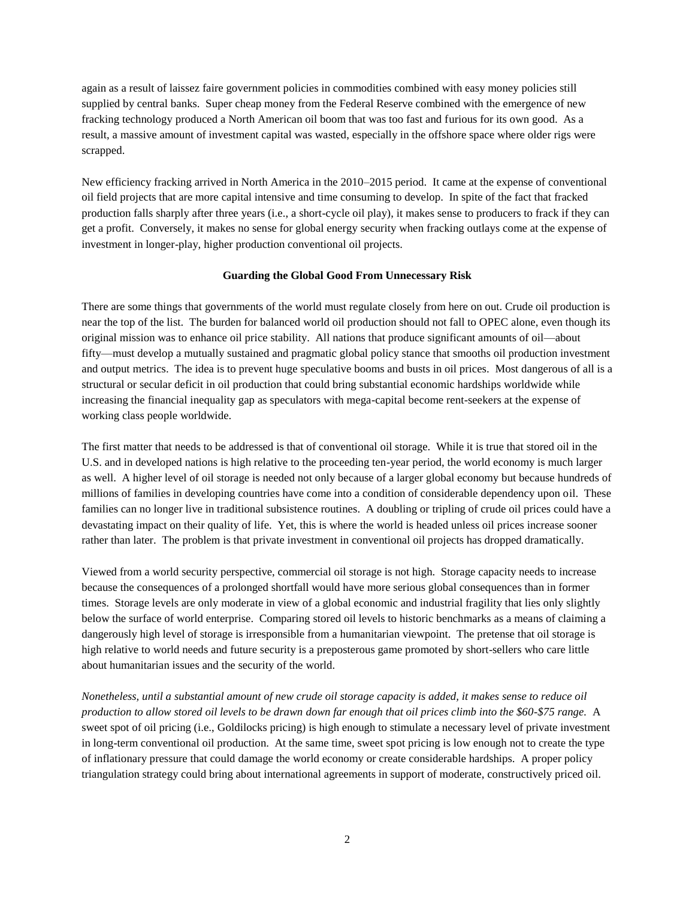again as a result of laissez faire government policies in commodities combined with easy money policies still supplied by central banks. Super cheap money from the Federal Reserve combined with the emergence of new fracking technology produced a North American oil boom that was too fast and furious for its own good. As a result, a massive amount of investment capital was wasted, especially in the offshore space where older rigs were scrapped.

New efficiency fracking arrived in North America in the 2010–2015 period. It came at the expense of conventional oil field projects that are more capital intensive and time consuming to develop. In spite of the fact that fracked production falls sharply after three years (i.e., a short-cycle oil play), it makes sense to producers to frack if they can get a profit. Conversely, it makes no sense for global energy security when fracking outlays come at the expense of investment in longer-play, higher production conventional oil projects.

## **Guarding the Global Good From Unnecessary Risk**

There are some things that governments of the world must regulate closely from here on out. Crude oil production is near the top of the list. The burden for balanced world oil production should not fall to OPEC alone, even though its original mission was to enhance oil price stability. All nations that produce significant amounts of oil—about fifty—must develop a mutually sustained and pragmatic global policy stance that smooths oil production investment and output metrics. The idea is to prevent huge speculative booms and busts in oil prices. Most dangerous of all is a structural or secular deficit in oil production that could bring substantial economic hardships worldwide while increasing the financial inequality gap as speculators with mega-capital become rent-seekers at the expense of working class people worldwide.

The first matter that needs to be addressed is that of conventional oil storage. While it is true that stored oil in the U.S. and in developed nations is high relative to the proceeding ten-year period, the world economy is much larger as well. A higher level of oil storage is needed not only because of a larger global economy but because hundreds of millions of families in developing countries have come into a condition of considerable dependency upon oil. These families can no longer live in traditional subsistence routines. A doubling or tripling of crude oil prices could have a devastating impact on their quality of life. Yet, this is where the world is headed unless oil prices increase sooner rather than later. The problem is that private investment in conventional oil projects has dropped dramatically.

Viewed from a world security perspective, commercial oil storage is not high. Storage capacity needs to increase because the consequences of a prolonged shortfall would have more serious global consequences than in former times. Storage levels are only moderate in view of a global economic and industrial fragility that lies only slightly below the surface of world enterprise. Comparing stored oil levels to historic benchmarks as a means of claiming a dangerously high level of storage is irresponsible from a humanitarian viewpoint. The pretense that oil storage is high relative to world needs and future security is a preposterous game promoted by short-sellers who care little about humanitarian issues and the security of the world.

*Nonetheless, until a substantial amount of new crude oil storage capacity is added, it makes sense to reduce oil production to allow stored oil levels to be drawn down far enough that oil prices climb into the \$60-\$75 range.* A sweet spot of oil pricing (i.e., Goldilocks pricing) is high enough to stimulate a necessary level of private investment in long-term conventional oil production. At the same time, sweet spot pricing is low enough not to create the type of inflationary pressure that could damage the world economy or create considerable hardships. A proper policy triangulation strategy could bring about international agreements in support of moderate, constructively priced oil.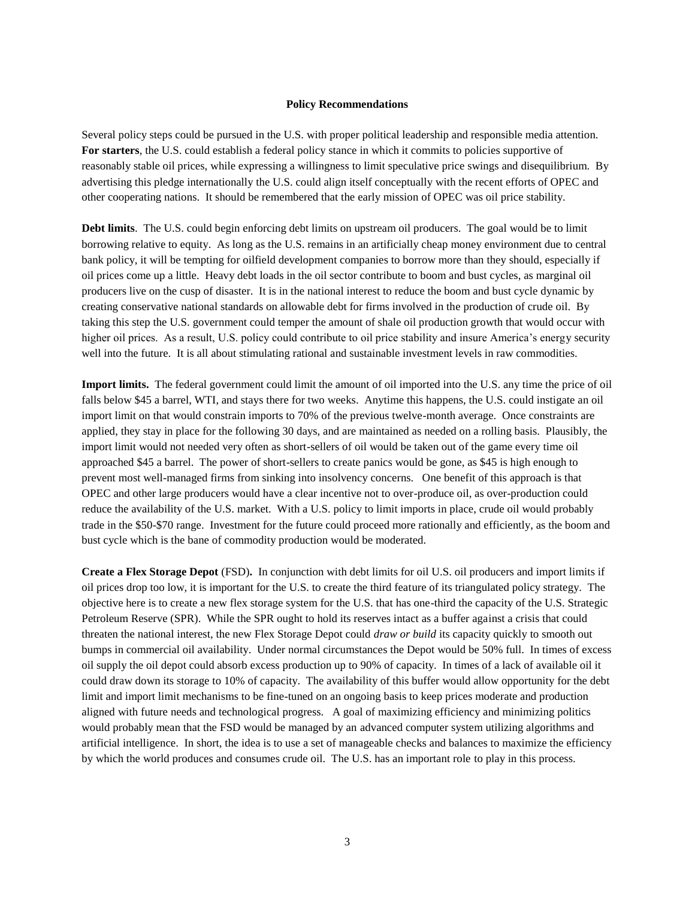#### **Policy Recommendations**

Several policy steps could be pursued in the U.S. with proper political leadership and responsible media attention. **For starters**, the U.S. could establish a federal policy stance in which it commits to policies supportive of reasonably stable oil prices, while expressing a willingness to limit speculative price swings and disequilibrium. By advertising this pledge internationally the U.S. could align itself conceptually with the recent efforts of OPEC and other cooperating nations. It should be remembered that the early mission of OPEC was oil price stability.

**Debt limits**. The U.S. could begin enforcing debt limits on upstream oil producers. The goal would be to limit borrowing relative to equity. As long as the U.S. remains in an artificially cheap money environment due to central bank policy, it will be tempting for oilfield development companies to borrow more than they should, especially if oil prices come up a little. Heavy debt loads in the oil sector contribute to boom and bust cycles, as marginal oil producers live on the cusp of disaster. It is in the national interest to reduce the boom and bust cycle dynamic by creating conservative national standards on allowable debt for firms involved in the production of crude oil. By taking this step the U.S. government could temper the amount of shale oil production growth that would occur with higher oil prices. As a result, U.S. policy could contribute to oil price stability and insure America's energy security well into the future. It is all about stimulating rational and sustainable investment levels in raw commodities.

**Import limits.** The federal government could limit the amount of oil imported into the U.S. any time the price of oil falls below \$45 a barrel, WTI, and stays there for two weeks. Anytime this happens, the U.S. could instigate an oil import limit on that would constrain imports to 70% of the previous twelve-month average. Once constraints are applied, they stay in place for the following 30 days, and are maintained as needed on a rolling basis. Plausibly, the import limit would not needed very often as short-sellers of oil would be taken out of the game every time oil approached \$45 a barrel. The power of short-sellers to create panics would be gone, as \$45 is high enough to prevent most well-managed firms from sinking into insolvency concerns. One benefit of this approach is that OPEC and other large producers would have a clear incentive not to over-produce oil, as over-production could reduce the availability of the U.S. market. With a U.S. policy to limit imports in place, crude oil would probably trade in the \$50-\$70 range. Investment for the future could proceed more rationally and efficiently, as the boom and bust cycle which is the bane of commodity production would be moderated.

**Create a Flex Storage Depot** (FSD)**.** In conjunction with debt limits for oil U.S. oil producers and import limits if oil prices drop too low, it is important for the U.S. to create the third feature of its triangulated policy strategy. The objective here is to create a new flex storage system for the U.S. that has one-third the capacity of the U.S. Strategic Petroleum Reserve (SPR). While the SPR ought to hold its reserves intact as a buffer against a crisis that could threaten the national interest, the new Flex Storage Depot could *draw or build* its capacity quickly to smooth out bumps in commercial oil availability. Under normal circumstances the Depot would be 50% full. In times of excess oil supply the oil depot could absorb excess production up to 90% of capacity. In times of a lack of available oil it could draw down its storage to 10% of capacity. The availability of this buffer would allow opportunity for the debt limit and import limit mechanisms to be fine-tuned on an ongoing basis to keep prices moderate and production aligned with future needs and technological progress. A goal of maximizing efficiency and minimizing politics would probably mean that the FSD would be managed by an advanced computer system utilizing algorithms and artificial intelligence. In short, the idea is to use a set of manageable checks and balances to maximize the efficiency by which the world produces and consumes crude oil. The U.S. has an important role to play in this process.